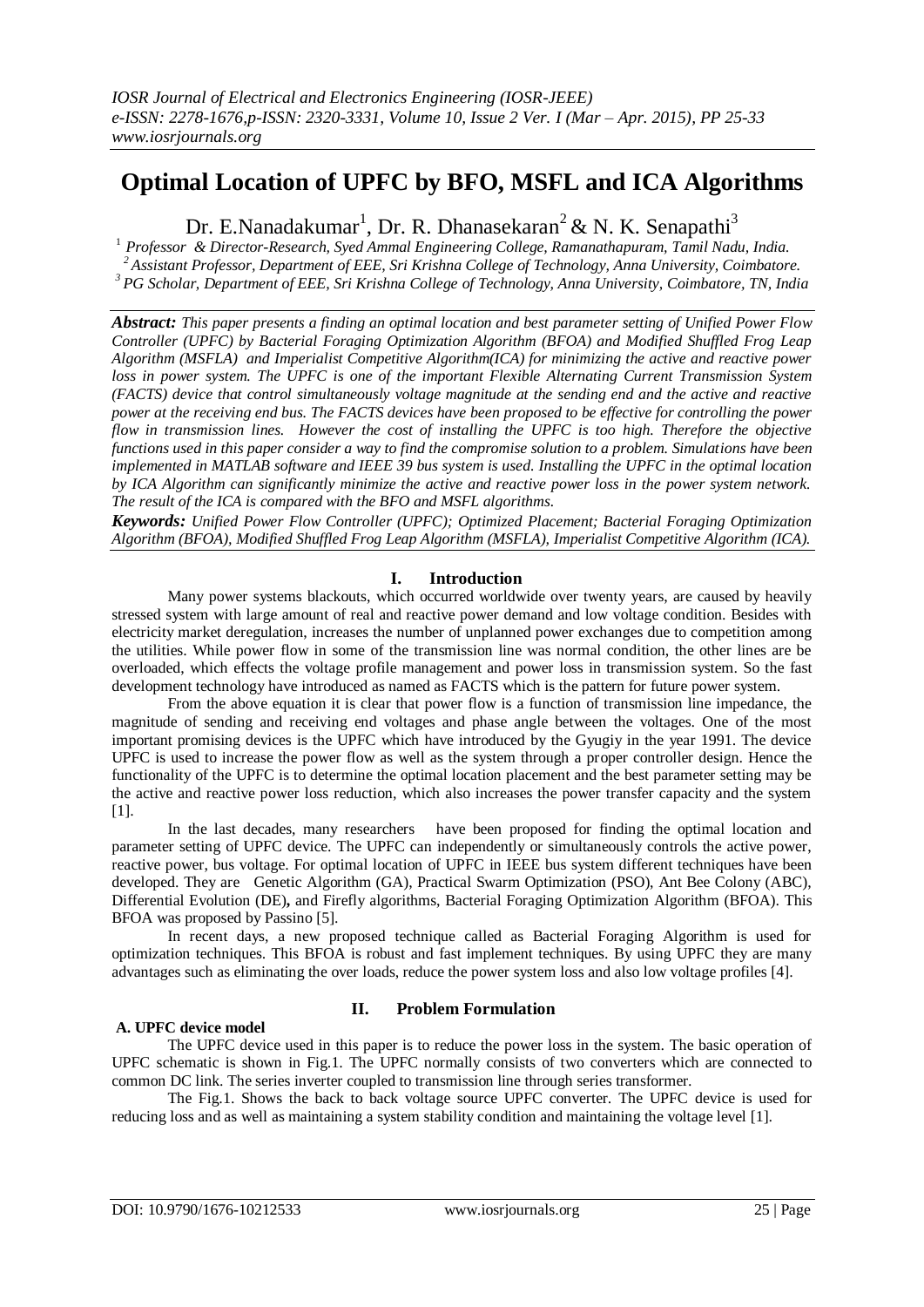# **Optimal Location of UPFC by BFO, MSFL and ICA Algorithms**

Dr. E.Nanadakumar<sup>1</sup>, Dr. R. Dhanasekaran<sup>2</sup> & N. K. Senapathi<sup>3</sup>

<sup>1</sup> *Professor & Director-Research, Syed Ammal Engineering College, Ramanathapuram, Tamil Nadu, India. <sup>2</sup> Assistant Professor, Department of EEE, Sri Krishna College of Technology, Anna University, Coimbatore. <sup>3</sup> PG Scholar, Department of EEE, Sri Krishna College of Technology, Anna University, Coimbatore, TN, India*

*Abstract: This paper presents a finding an optimal location and best parameter setting of Unified Power Flow Controller (UPFC) by Bacterial Foraging Optimization Algorithm (BFOA) and Modified Shuffled Frog Leap Algorithm (MSFLA) and Imperialist Competitive Algorithm(ICA) for minimizing the active and reactive power loss in power system. The UPFC is one of the important Flexible Alternating Current Transmission System (FACTS) device that control simultaneously voltage magnitude at the sending end and the active and reactive power at the receiving end bus. The FACTS devices have been proposed to be effective for controlling the power flow in transmission lines. However the cost of installing the UPFC is too high. Therefore the objective functions used in this paper consider a way to find the compromise solution to a problem. Simulations have been implemented in MATLAB software and IEEE 39 bus system is used. Installing the UPFC in the optimal location by ICA Algorithm can significantly minimize the active and reactive power loss in the power system network. The result of the ICA is compared with the BFO and MSFL algorithms.*

*Keywords: Unified Power Flow Controller (UPFC); Optimized Placement; Bacterial Foraging Optimization Algorithm (BFOA), Modified Shuffled Frog Leap Algorithm (MSFLA), Imperialist Competitive Algorithm (ICA).*

## **I. Introduction**

Many power systems blackouts, which occurred worldwide over twenty years, are caused by heavily stressed system with large amount of real and reactive power demand and low voltage condition. Besides with electricity market deregulation, increases the number of unplanned power exchanges due to competition among the utilities. While power flow in some of the transmission line was normal condition, the other lines are be overloaded, which effects the voltage profile management and power loss in transmission system. So the fast development technology have introduced as named as FACTS which is the pattern for future power system.

From the above equation it is clear that power flow is a function of transmission line impedance, the magnitude of sending and receiving end voltages and phase angle between the voltages. One of the most important promising devices is the UPFC which have introduced by the Gyugiy in the year 1991. The device UPFC is used to increase the power flow as well as the system through a proper controller design. Hence the functionality of the UPFC is to determine the optimal location placement and the best parameter setting may be the active and reactive power loss reduction, which also increases the power transfer capacity and the system [1].

In the last decades, many researchers have been proposed for finding the optimal location and parameter setting of UPFC device. The UPFC can independently or simultaneously controls the active power, reactive power, bus voltage. For optimal location of UPFC in IEEE bus system different techniques have been developed. They are Genetic Algorithm (GA), Practical Swarm Optimization (PSO), Ant Bee Colony (ABC), Differential Evolution (DE)**,** and Firefly algorithms, Bacterial Foraging Optimization Algorithm (BFOA). This BFOA was proposed by Passino [5].

In recent days, a new proposed technique called as Bacterial Foraging Algorithm is used for optimization techniques. This BFOA is robust and fast implement techniques. By using UPFC they are many advantages such as eliminating the over loads, reduce the power system loss and also low voltage profiles [4].

## **A. UPFC device model**

## **II. Problem Formulation**

The UPFC device used in this paper is to reduce the power loss in the system. The basic operation of UPFC schematic is shown in Fig.1. The UPFC normally consists of two converters which are connected to common DC link. The series inverter coupled to transmission line through series transformer.

The Fig.1. Shows the back to back voltage source UPFC converter. The UPFC device is used for reducing loss and as well as maintaining a system stability condition and maintaining the voltage level [1].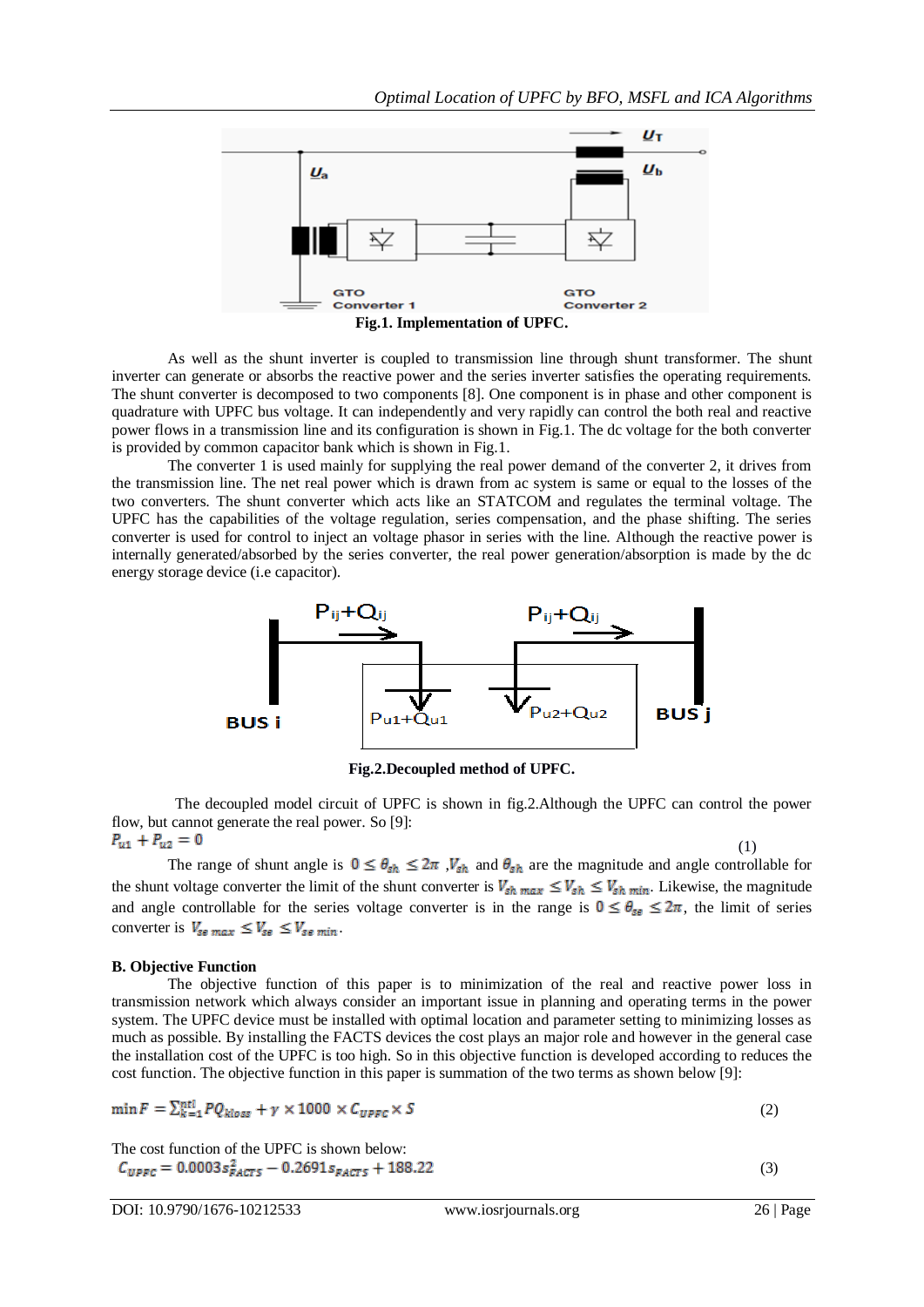

As well as the shunt inverter is coupled to transmission line through shunt transformer. The shunt inverter can generate or absorbs the reactive power and the series inverter satisfies the operating requirements. The shunt converter is decomposed to two components [8]. One component is in phase and other component is quadrature with UPFC bus voltage. It can independently and very rapidly can control the both real and reactive power flows in a transmission line and its configuration is shown in Fig.1. The dc voltage for the both converter is provided by common capacitor bank which is shown in Fig.1.

The converter 1 is used mainly for supplying the real power demand of the converter 2, it drives from the transmission line. The net real power which is drawn from ac system is same or equal to the losses of the two converters. The shunt converter which acts like an STATCOM and regulates the terminal voltage. The UPFC has the capabilities of the voltage regulation, series compensation, and the phase shifting. The series converter is used for control to inject an voltage phasor in series with the line. Although the reactive power is internally generated/absorbed by the series converter, the real power generation/absorption is made by the dc energy storage device (i.e capacitor).



**Fig.2.Decoupled method of UPFC.**

 The decoupled model circuit of UPFC is shown in fig.2.Although the UPFC can control the power flow, but cannot generate the real power. So [9]: (1)

The range of shunt angle is  $0 \le \theta_{sh} \le 2\pi$ ,  $V_{sh}$  and  $\theta_{sh}$  are the magnitude and angle controllable for the shunt voltage converter the limit of the shunt converter is  $V_{sh max} \le V_{sh} \le V_{sh min}$ . Likewise, the magnitude and angle controllable for the series voltage converter is in the range is  $0 \le \theta_{\text{sg}} \le 2\pi$ , the limit of series converter is  $V_{\text{se max}} \leq V_{\text{se}} \leq V_{\text{se min}}$ .

#### **B. Objective Function**

The objective function of this paper is to minimization of the real and reactive power loss in transmission network which always consider an important issue in planning and operating terms in the power system. The UPFC device must be installed with optimal location and parameter setting to minimizing losses as much as possible. By installing the FACTS devices the cost plays an major role and however in the general case the installation cost of the UPFC is too high. So in this objective function is developed according to reduces the cost function. The objective function in this paper is summation of the two terms as shown below [9]:

$$
\min F = \sum_{k=1}^{ntl} PQ_{kloss} + \gamma \times 1000 \times C_{UPFC} \times S \tag{2}
$$

The cost function of the UPFC is shown below:

(3)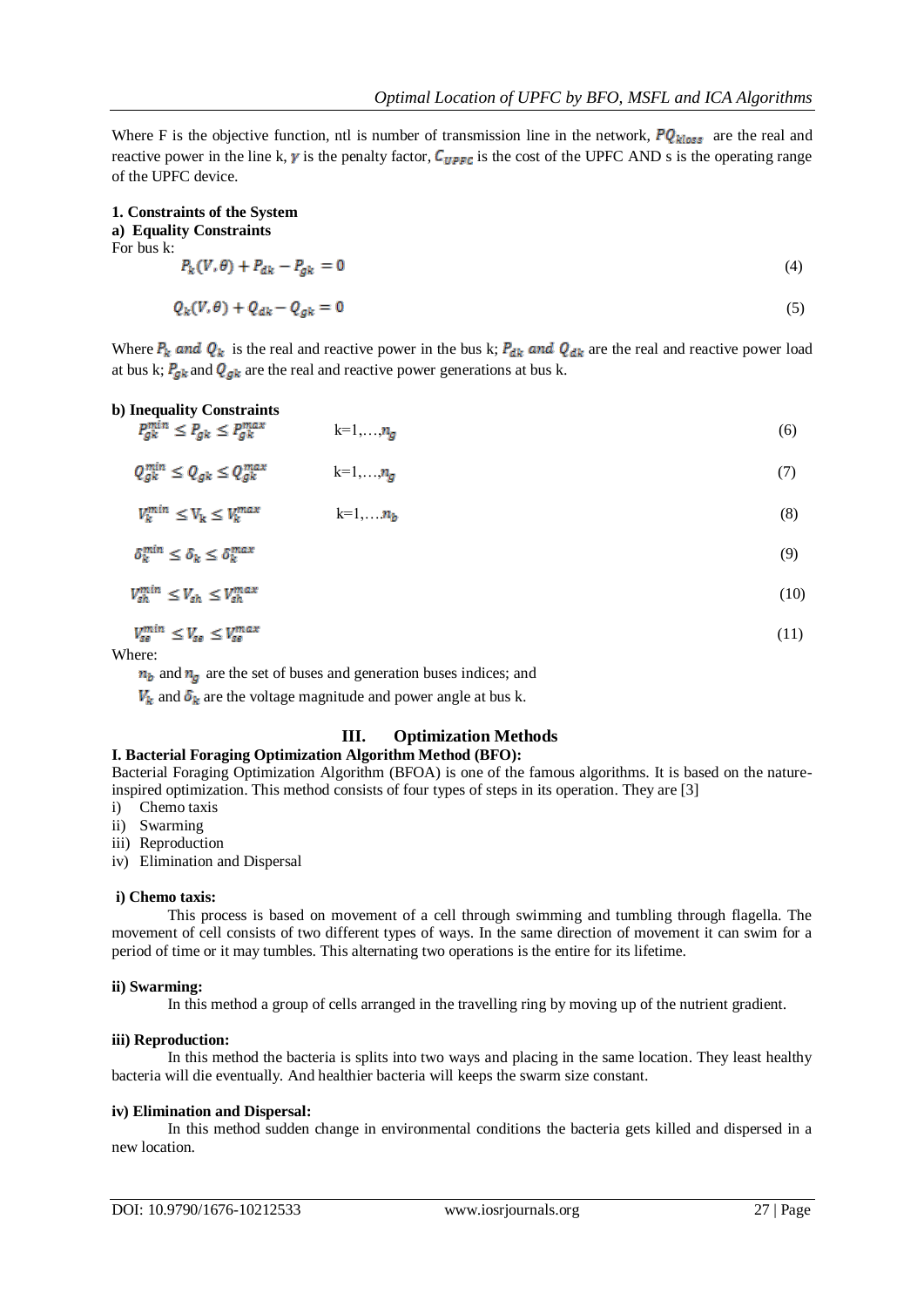Where F is the objective function, ntl is number of transmission line in the network,  $PQ_{kloss}$  are the real and reactive power in the line k,  $\gamma$  is the penalty factor,  $C_{UPFC}$  is the cost of the UPFC AND s is the operating range of the UPFC device.

**1. Constraints of the System**

**a) Equality Constraints** For bus k:

$$
P_k(V,\theta) + P_{dk} - P_{gk} = 0 \tag{4}
$$

$$
Q_k(V,\theta) + Q_{dk} - Q_{gk} = 0 \tag{5}
$$

Where  $P_k$  and  $Q_k$  is the real and reactive power in the bus k;  $P_{dk}$  and  $Q_{dk}$  are the real and reactive power load at bus k;  $P_{gk}$  and  $Q_{gk}$  are the real and reactive power generations at bus k.

**b) Inequality Constraints**

$$
P_{g_k}^{min} \le P_{g_k} \le P_{g_k}^{max} \qquad \qquad k=1,\ldots,n_g \tag{6}
$$

$$
Q_{gk}^{min} \le Q_{gk} \le Q_{gk}^{max} \qquad k=1,\ldots,n_g \tag{7}
$$

$$
V_k^{min} \le V_k \le V_k^{max} \qquad k=1,\dots,n_b \tag{8}
$$

$$
\delta_k^{\min} \le \delta_k \le \delta_k^{\max} \tag{9}
$$

$$
V_{\rm sh}^{\rm min} \le V_{\rm sh} \le V_{\rm sh}^{\rm max} \tag{10}
$$

$$
V_{se}^{min} \le V_{se} \le V_{se}^{max} \tag{11}
$$

Where:

 $n_b$  and  $n_g$  are the set of buses and generation buses indices; and

 $V_k$  and  $\delta_k$  are the voltage magnitude and power angle at bus k.

## **III. Optimization Methods**

## **I. Bacterial Foraging Optimization Algorithm Method (BFO):**

Bacterial Foraging Optimization Algorithm (BFOA) is one of the famous algorithms. It is based on the natureinspired optimization. This method consists of four types of steps in its operation. They are [3]

i) Chemo taxis

ii) Swarming

iii) Reproduction

iv) Elimination and Dispersal

#### **i) Chemo taxis:**

This process is based on movement of a cell through swimming and tumbling through flagella. The movement of cell consists of two different types of ways. In the same direction of movement it can swim for a period of time or it may tumbles. This alternating two operations is the entire for its lifetime.

#### **ii) Swarming:**

In this method a group of cells arranged in the travelling ring by moving up of the nutrient gradient.

#### **iii) Reproduction:**

In this method the bacteria is splits into two ways and placing in the same location. They least healthy bacteria will die eventually. And healthier bacteria will keeps the swarm size constant.

#### **iv) Elimination and Dispersal:**

In this method sudden change in environmental conditions the bacteria gets killed and dispersed in a new location.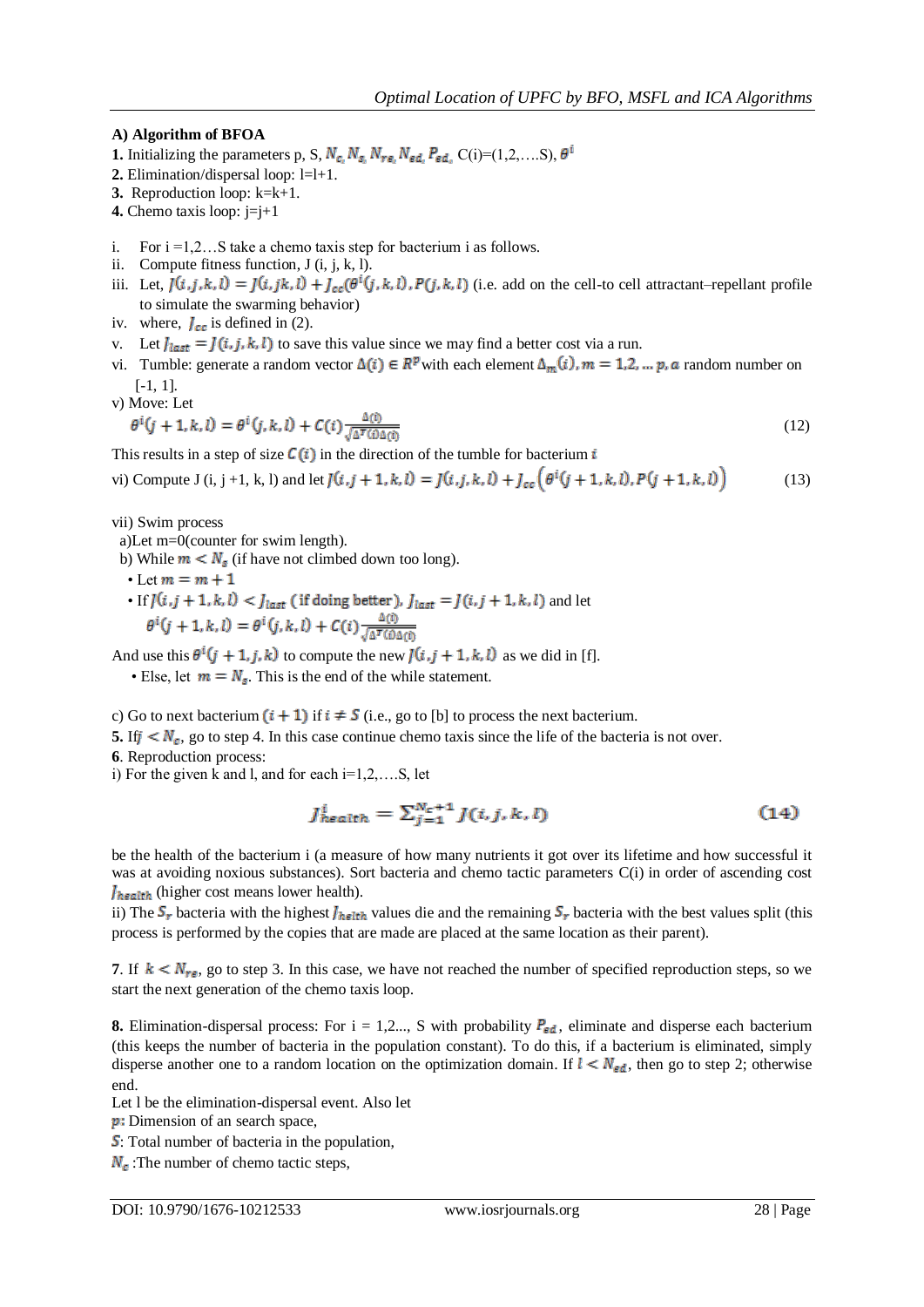## **A) Algorithm of BFOA**

- **1.** Initializing the parameters p, S,  $N_{c_i} N_{s_i} N_{re_i} N_{ed_i} P_{ed_i} C(i) = (1,2,...S), \theta^i$
- **2.** Elimination/dispersal loop: l=l+1.
- **3.** Reproduction loop: k=k+1.
- **4.** Chemo taxis loop: j=j+1
- i. For  $i = 1, 2...S$  take a chemo taxis step for bacterium i as follows.
- ii. Compute fitness function, J (i, j, k, l).
- iii. Let,  $J(i,j,k,l) = J(i,jk,l) + J_{cc}(\theta^i(j,k,l), P(j,k,l))$  (i.e. add on the cell-to cell attractant–repellant profile to simulate the swarming behavior)
- iv. where,  $J_{cc}$  is defined in (2).
- v. Let  $J_{last} = J(i, j, k, l)$  to save this value since we may find a better cost via a run.
- vi. Tumble: generate a random vector  $\Delta(i) \in R^p$  with each element  $\Delta_m(i)$ ,  $m = 1, 2, \dots, p$ , a random number on [-1, 1].
- v) Move: Let

$$
\theta^{i}(j+1,k,l) = \theta^{i}(j,k,l) + C(i)\frac{\Delta(i)}{\sqrt{\Delta^{T}(i)\Delta(i)}}
$$
\n(12)

This results in a step of size  $\mathcal{C}(i)$  in the direction of the tumble for bacterium i

vi) Compute J (i, j +1, k, l) and let  $J(i, j + 1, k, l) = J(i, j, k, l) + J_{cc} \left(\theta^{i}(j + 1, k, l), P(j + 1, k, l)\right)$  (13)

vii) Swim process

- a)Let m=0(counter for swim length).
- b) While  $m < N<sub>s</sub>$  (if have not climbed down too long).
- Let  $m = m + 1$
- If  $J(i, j + 1, k, l) < J_{last}$  (if doing better),  $J_{last} = J(i, j + 1, k, l)$  and let  $\theta^{i}(j + 1, k, l) = \theta^{i}(j, k, l) + C(i) \frac{\Delta(i)}{\sqrt{\Delta^{T}(i)\Delta(i)}}$

And use this  $\theta^{i}(j + 1, j, k)$  to compute the new  $j(i, j + 1, k, l)$  as we did in [f].

• Else, let  $m = N_s$ . This is the end of the while statement.

c) Go to next bacterium  $(i + 1)$  if  $i \neq S$  (i.e., go to [b] to process the next bacterium.

**5.** If  $f \leq N_c$ , go to step 4. In this case continue chemo taxis since the life of the bacteria is not over.

**6**. Reproduction process:

i) For the given k and l, and for each i=1,2,….S, let

$$
J_{\text{health}}^i = \sum_{j=1}^{N_c+1} J(i, j, k, l) \tag{14}
$$

be the health of the bacterium i (a measure of how many nutrients it got over its lifetime and how successful it was at avoiding noxious substances). Sort bacteria and chemo tactic parameters C(i) in order of ascending cost  $I_{\text{health}}$  (higher cost means lower health).

ii) The  $S_r$  bacteria with the highest  $J_{helith}$  values die and the remaining  $S_r$  bacteria with the best values split (this process is performed by the copies that are made are placed at the same location as their parent).

**7.** If  $k \leq N_{\text{ref}}$ , go to step 3. In this case, we have not reached the number of specified reproduction steps, so we start the next generation of the chemo taxis loop.

**8.** Elimination-dispersal process: For  $i = 1, 2, \ldots$ , S with probability  $P_{gd}$ , eliminate and disperse each bacterium (this keeps the number of bacteria in the population constant). To do this, if a bacterium is eliminated, simply disperse another one to a random location on the optimization domain. If  $l < N_{\text{ed}}$ , then go to step 2; otherwise end.

Let l be the elimination-dispersal event. Also let

**p**: Dimension of an search space,

**S**: Total number of bacteria in the population,

 $N_c$ : The number of chemo tactic steps,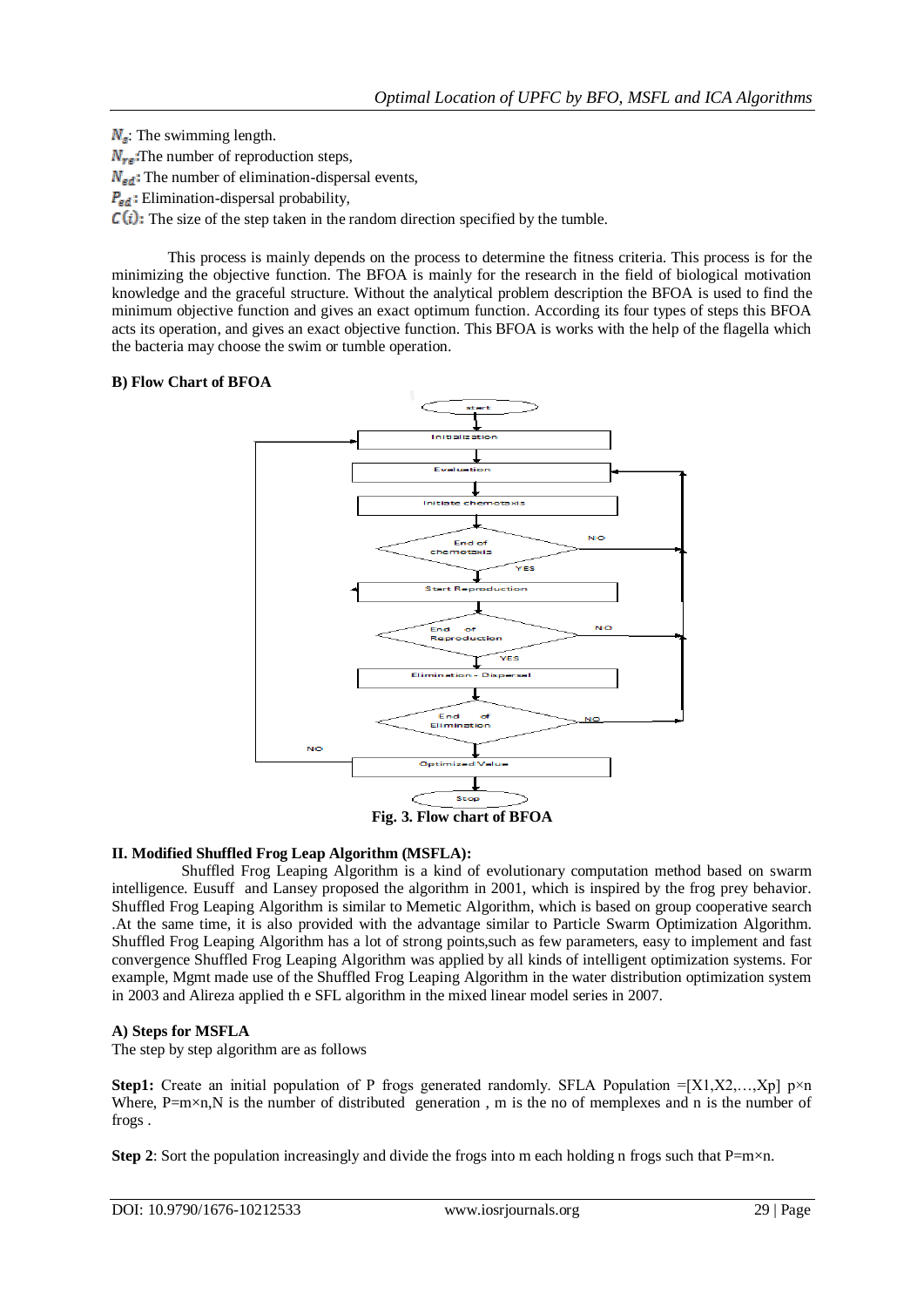$N_s$ : The swimming length.  $N_{\text{ref}}$ . The number of reproduction steps,  $N_{\text{ed}}$ : The number of elimination-dispersal events,  $P_{\text{ed}}$ : Elimination-dispersal probability,  $C(i)$ : The size of the step taken in the random direction specified by the tumble.

This process is mainly depends on the process to determine the fitness criteria. This process is for the minimizing the objective function. The BFOA is mainly for the research in the field of biological motivation knowledge and the graceful structure. Without the analytical problem description the BFOA is used to find the minimum objective function and gives an exact optimum function. According its four types of steps this BFOA acts its operation, and gives an exact objective function. This BFOA is works with the help of the flagella which the bacteria may choose the swim or tumble operation.

## **B) Flow Chart of BFOA**



## **II. Modified Shuffled Frog Leap Algorithm (MSFLA):**

Shuffled Frog Leaping Algorithm is a kind of evolutionary computation method based on swarm intelligence. Eusuffand Lansey proposed the algorithm in 2001, which is inspired by the frog prey behavior. Shuffled Frog Leaping Algorithm is similar to Memetic Algorithm, which is based on group cooperative search .At the same time, it is also provided with the advantage similar to Particle Swarm Optimization Algorithm. Shuffled Frog Leaping Algorithm has a lot of strong points,such as few parameters, easy to implement and fast convergence Shuffled Frog Leaping Algorithm was applied by all kinds of intelligent optimization systems. For example, Mgmt made use of the Shuffled Frog Leaping Algorithm in the water distribution optimization system in 2003 and Alireza applied th e SFL algorithm in the mixed linear model series in 2007.

## **A) Steps for MSFLA**

The step by step algorithm are as follows

**Step1:** Create an initial population of P frogs generated randomly. SFLA Population  $=[X1,X2,...,Xp]$  p×n Where,  $P=m\times n$ , N is the number of distributed generation, m is the no of memplexes and n is the number of frogs .

**Step 2**: Sort the population increasingly and divide the frogs into m each holding n frogs such that  $P=m\times n$ .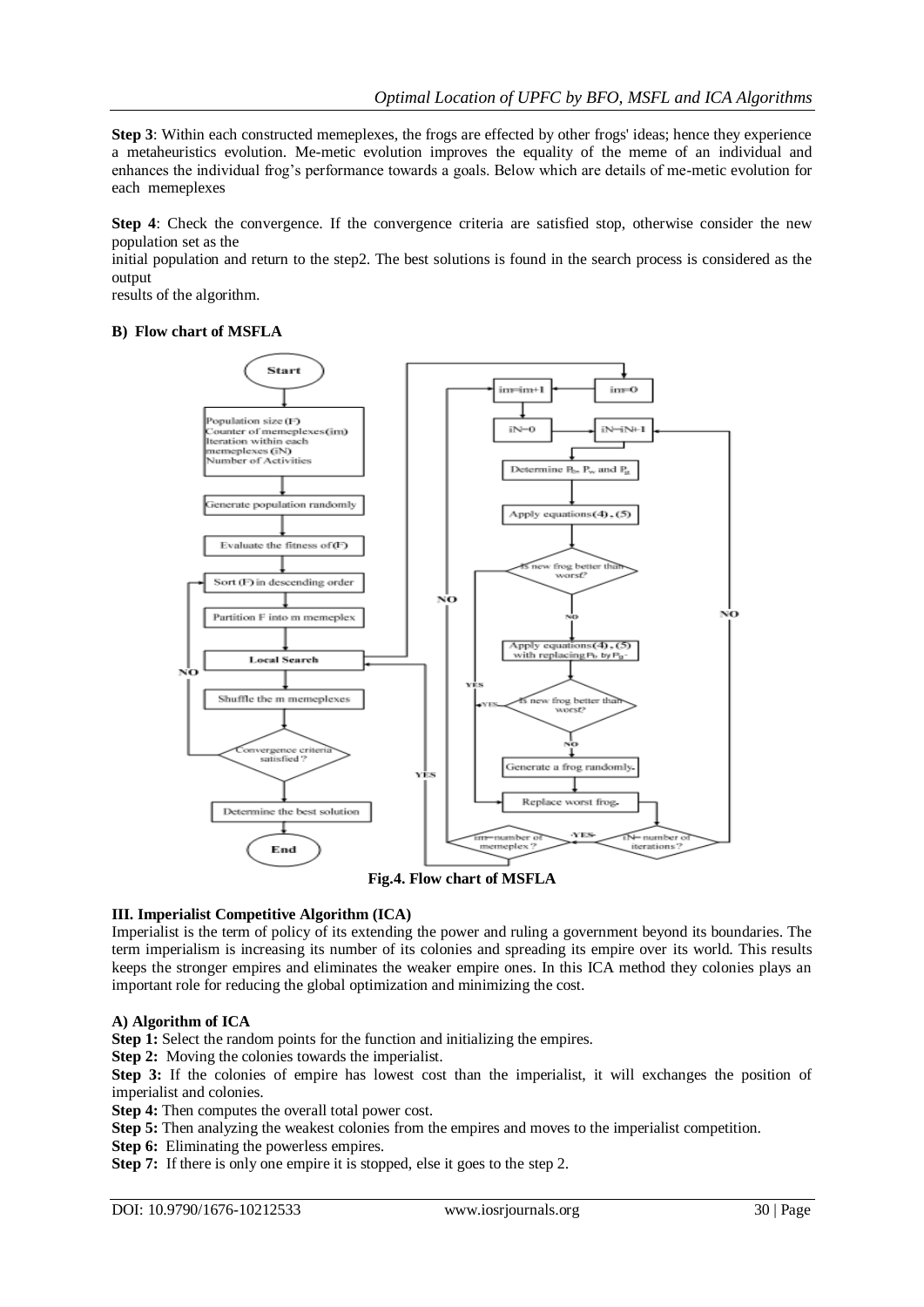**Step 3**: Within each constructed memeplexes, the frogs are effected by other frogs' ideas; hence they experience a metaheuristics evolution. Me-metic evolution improves the equality of the meme of an individual and enhances the individual frog's performance towards a goals. Below which are details of me-metic evolution for each memeplexes

**Step 4**: Check the convergence. If the convergence criteria are satisfied stop, otherwise consider the new population set as the

initial population and return to the step2. The best solutions is found in the search process is considered as the output

results of the algorithm.

#### **B) Flow chart of MSFLA**



**Fig.4. Flow chart of MSFLA**

#### **III. Imperialist Competitive Algorithm (ICA)**

Imperialist is the term of policy of its extending the power and ruling a government beyond its boundaries. The term imperialism is increasing its number of its colonies and spreading its empire over its world. This results keeps the stronger empires and eliminates the weaker empire ones. In this ICA method they colonies plays an important role for reducing the global optimization and minimizing the cost.

#### **A) Algorithm of ICA**

**Step 1:** Select the random points for the function and initializing the empires.

**Step 2:** Moving the colonies towards the imperialist.

**Step 3:** If the colonies of empire has lowest cost than the imperialist, it will exchanges the position of imperialist and colonies.

**Step 4:** Then computes the overall total power cost.

**Step 5:** Then analyzing the weakest colonies from the empires and moves to the imperialist competition.

**Step 6:** Eliminating the powerless empires.

**Step 7:** If there is only one empire it is stopped, else it goes to the step 2.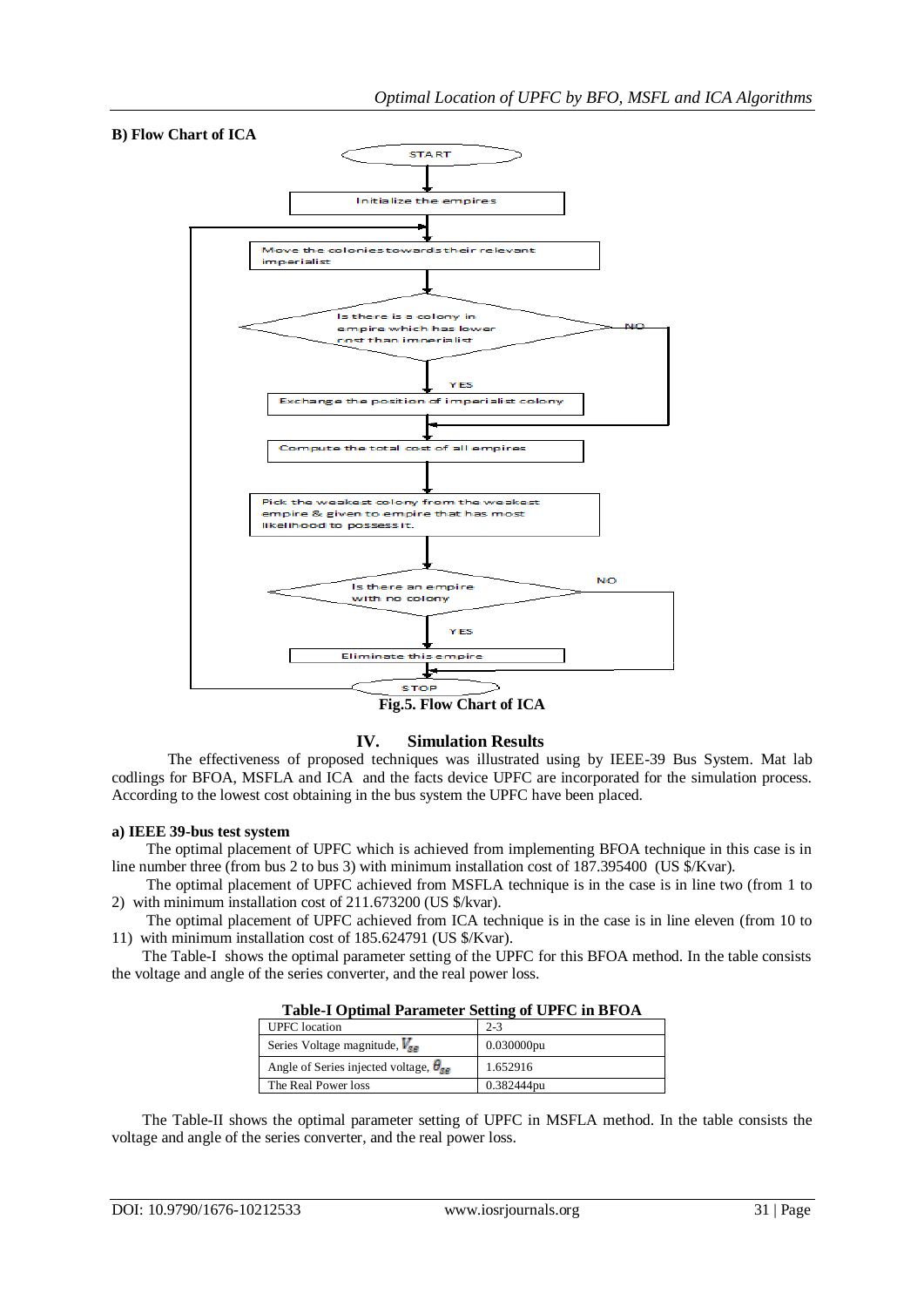

## **IV. Simulation Results**

The effectiveness of proposed techniques was illustrated using by IEEE-39 Bus System. Mat lab codlings for BFOA, MSFLA and ICA and the facts device UPFC are incorporated for the simulation process. According to the lowest cost obtaining in the bus system the UPFC have been placed.

#### **a) IEEE 39-bus test system**

The optimal placement of UPFC which is achieved from implementing BFOA technique in this case is in line number three (from bus 2 to bus 3) with minimum installation cost of 187.395400 (US \$/Kvar).

 The optimal placement of UPFC achieved from MSFLA technique is in the case is in line two (from 1 to 2) with minimum installation cost of 211.673200 (US \$/kvar).

 The optimal placement of UPFC achieved from ICA technique is in the case is in line eleven (from 10 to 11) with minimum installation cost of 185.624791 (US \$/Kvar).

 The Table-I shows the optimal parameter setting of the UPFC for this BFOA method. In the table consists the voltage and angle of the series converter, and the real power loss.

| Table-Topulmal Farameter betting of CFTC in DFO/I |               |  |  |  |
|---------------------------------------------------|---------------|--|--|--|
| <b>UPFC</b> location                              | $2 - 3$       |  |  |  |
| Series Voltage magnitude, $V_{\rm{sg}}$           | $0.030000$ pu |  |  |  |
| Angle of Series injected voltage, $\theta_{gg}$   | 1.652916      |  |  |  |
| The Real Power loss                               | 0.382444pu    |  |  |  |

**Table-I Optimal Parameter Setting of UPFC in BFOA**

 The Table-II shows the optimal parameter setting of UPFC in MSFLA method. In the table consists the voltage and angle of the series converter, and the real power loss.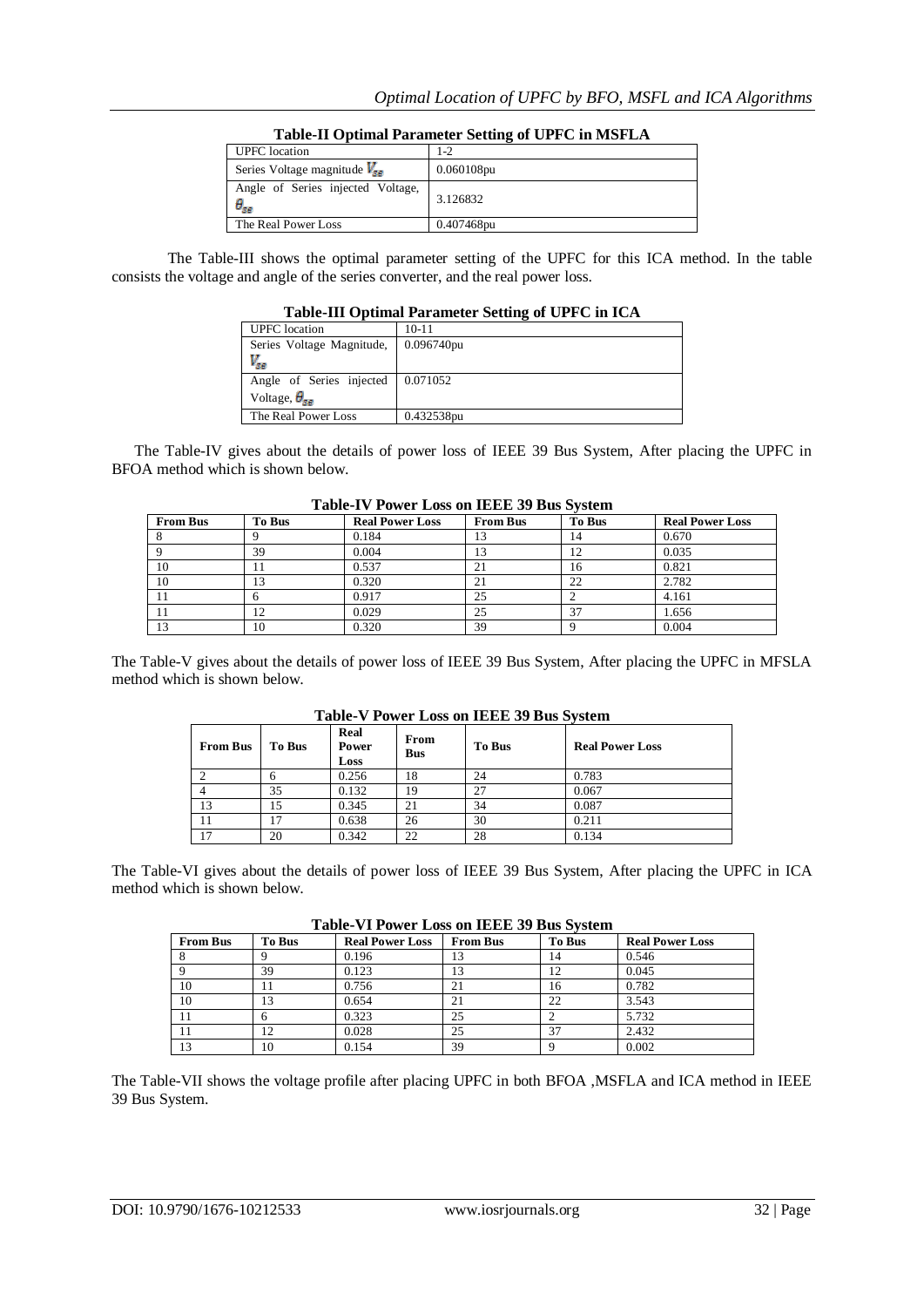| <b>UPFC</b> location                               | $-2$       |
|----------------------------------------------------|------------|
| Series Voltage magnitude $V_{\rm{gg}}$             | 0.060108pu |
| Angle of Series injected Voltage,<br>$\theta_{se}$ | 3.126832   |
| The Real Power Loss                                | 0.407468pu |

## **Table-II Optimal Parameter Setting of UPFC in MSFLA**

The Table-III shows the optimal parameter setting of the UPFC for this ICA method. In the table consists the voltage and angle of the series converter, and the real power loss.

| Table-III Optimal Parameter Setting of UPFC in ICA |            |  |  |
|----------------------------------------------------|------------|--|--|
| <b>UPFC</b> location                               | $10 - 11$  |  |  |
| Series Voltage Magnitude,                          | 0.096740pu |  |  |
| v <sub>sa</sub>                                    |            |  |  |
| Angle of Series injected                           | 0.071052   |  |  |
| Voltage, $\theta_{\rm{ge}}$                        |            |  |  |
| The Real Power Loss                                | 0.432538pu |  |  |

## **Table-III Optimal Parameter Setting of UPFC in ICA**

 The Table-IV gives about the details of power loss of IEEE 39 Bus System, After placing the UPFC in BFOA method which is shown below.

| <b>From Bus</b> | To Bus | <b>Real Power Loss</b> | <b>From Bus</b> | To Bus | <b>Real Power Loss</b> |
|-----------------|--------|------------------------|-----------------|--------|------------------------|
|                 |        | 0.184                  | 13              | 14     | 0.670                  |
|                 | 39     | 0.004                  |                 | 12     | 0.035                  |
| 10              |        | 0.537                  | 21              | 16     | 0.821                  |
| 10              |        | 0.320                  | 21              | 22     | 2.782                  |
|                 |        | 0.917                  | 25              |        | 4.161                  |
|                 |        | 0.029                  | 25              | 37     | 1.656                  |
| 13              | 10     | 0.320                  | 39              |        | 0.004                  |

## **Table-IV Power Loss on IEEE 39 Bus System**

The Table-V gives about the details of power loss of IEEE 39 Bus System, After placing the UPFC in MFSLA method which is shown below.

| $-$ 000.000 $+$ 0.000 $-$ 0.000 0.000 0.000 0.000 0.000 0.000 0.000 0.000 0.000 0.000 0.000 0.000 0.000 0.000 0.000 0.000 0.000 0.000 0.000 0.000 0.000 0.000 0.000 0.000 0.000 0.000 0.000 0.000 0.000 0.000 0.000 0.000 0.0 |               |                       |                    |               |                        |
|-------------------------------------------------------------------------------------------------------------------------------------------------------------------------------------------------------------------------------|---------------|-----------------------|--------------------|---------------|------------------------|
| <b>From Bus</b>                                                                                                                                                                                                               | <b>To Bus</b> | Real<br>Power<br>Loss | From<br><b>Bus</b> | <b>To Bus</b> | <b>Real Power Loss</b> |
|                                                                                                                                                                                                                               |               | 0.256                 | 18                 | 24            | 0.783                  |
|                                                                                                                                                                                                                               | 35            | 0.132                 | 19                 | 27            | 0.067                  |
| 13                                                                                                                                                                                                                            | 15            | 0.345                 | 21                 | 34            | 0.087                  |
| 11                                                                                                                                                                                                                            | 17            | 0.638                 | 26                 | 30            | 0.211                  |
| $\overline{ }$                                                                                                                                                                                                                | 20            | 0.342                 | 22                 | 28            | 0.134                  |

**Table-V Power Loss on IEEE 39 Bus System**

The Table-VI gives about the details of power loss of IEEE 39 Bus System, After placing the UPFC in ICA method which is shown below.

| <b>From Bus</b> | <b>To Bus</b> | <b>Real Power Loss</b> | <b>From Bus</b> | <b>To Bus</b> | <b>Real Power Loss</b> |
|-----------------|---------------|------------------------|-----------------|---------------|------------------------|
|                 |               | 0.196                  |                 | 14            | 0.546                  |
|                 | 39            | 0.123                  | 13              |               | 0.045                  |
| 10              |               | 0.756                  | 21              | 16            | 0.782                  |
| 10              | 13            | 0.654                  | 21              | 22            | 3.543                  |
|                 |               | 0.323                  | 25              |               | 5.732                  |
|                 | 12            | 0.028                  | 25              | 37            | 2.432                  |
| 13              | 10            | 0.154                  | 39              |               | 0.002                  |

The Table-VII shows the voltage profile after placing UPFC in both BFOA ,MSFLA and ICA method in IEEE 39 Bus System.